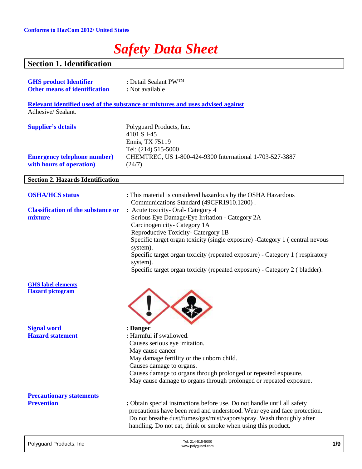## *Safety Data Sheet*

### **Section 1. Identification**

| <b>GHS product Identifier</b><br><b>Other means of identification</b> | : Detail Sealant PW <sup>TM</sup><br>: Not available                                                                                                                                                                                                                                                        |
|-----------------------------------------------------------------------|-------------------------------------------------------------------------------------------------------------------------------------------------------------------------------------------------------------------------------------------------------------------------------------------------------------|
| Adhesive/Sealant.                                                     | Relevant identified used of the substance or mixtures and uses advised against                                                                                                                                                                                                                              |
| <b>Supplier's details</b>                                             | Polyguard Products, Inc.<br>4101 S I-45<br>Ennis, TX 75119<br>Tel: (214) 515-5000                                                                                                                                                                                                                           |
| <b>Emergency telephone number)</b><br>with hours of operation)        | CHEMTREC, US 1-800-424-9300 International 1-703-527-3887<br>(24/7)                                                                                                                                                                                                                                          |
| <b>Section 2. Hazards Identification</b>                              |                                                                                                                                                                                                                                                                                                             |
| <b>OSHA/HCS status</b>                                                | : This material is considered hazardous by the OSHA Hazardous                                                                                                                                                                                                                                               |
| <b>Classification of the substance or</b><br>mixture                  | Communications Standard (49CFR1910.1200).<br>: Acute toxicity- Oral- Category 4<br>Serious Eye Damage/Eye Irritation - Category 2A<br>Carcinogenicity-Category 1A                                                                                                                                           |
|                                                                       | Reproductive Toxicity- Catergory 1B<br>Specific target organ toxicity (single exposure) -Category 1 (central nevous<br>system).<br>Specific target organ toxicity (repeated exposure) - Category 1 (respiratory<br>system).<br>Specific target organ toxicity (repeated exposure) - Category 2 (bladder).   |
| <b>GHS</b> label elements<br><b>Hazard</b> pictogram                  |                                                                                                                                                                                                                                                                                                             |
| <b>Signal word</b><br><b>Hazard statement</b>                         | : Danger<br>: Harmful if swallowed.<br>Causes serious eye irritation.<br>May cause cancer<br>May damage fertility or the unborn child.<br>Causes damage to organs.<br>Causes damage to organs through prolonged or repeated exposure.<br>May cause damage to organs through prolonged or repeated exposure. |
| <b>Precautionary statements</b>                                       |                                                                                                                                                                                                                                                                                                             |
| <b>Prevention</b>                                                     | : Obtain special instructions before use. Do not handle until all safety<br>precautions have been read and understood. Wear eye and face protection.<br>Do not breathe dust/fumes/gas/mist/vapors/spray. Wash throughly after<br>handling. Do not eat, drink or smoke when using this product.              |

| Tel: 214-515-5000<br>www.polyguard.com | 1/9 |
|----------------------------------------|-----|
|                                        |     |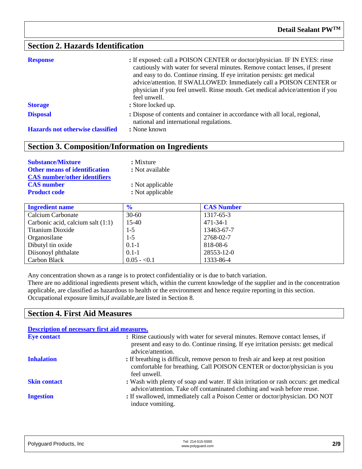#### **Section 2. Hazards Identification**

| <b>Response</b><br><b>Storage</b>       | : If exposed: call a POISON CENTER or doctor/physician. IF IN EYES: rinse<br>cautiously with water for several minutes. Remove contact lenses, if present<br>and easy to do. Continue rinsing. If eye irritation persists: get medical<br>advice/attention. If SWALLOWED: Immediately call a POISON CENTER or<br>physician if you feel unwell. Rinse mouth. Get medical advice/attention if you<br>feel unwell.<br>: Store locked up. |
|-----------------------------------------|---------------------------------------------------------------------------------------------------------------------------------------------------------------------------------------------------------------------------------------------------------------------------------------------------------------------------------------------------------------------------------------------------------------------------------------|
| <b>Disposal</b>                         | : Dispose of contents and container in accordance with all local, regional,<br>national and international regulations.                                                                                                                                                                                                                                                                                                                |
| <b>Hazards not otherwise classified</b> | : None known                                                                                                                                                                                                                                                                                                                                                                                                                          |

#### **Section 3. Composition/Information on Ingredients**

| <b>Substance/Mixture</b>             | : Mixture        |
|--------------------------------------|------------------|
| <b>Other means of identification</b> | : Not available  |
| <b>CAS</b> number/other identifiers  |                  |
| <b>CAS</b> number                    | : Not applicable |
| <b>Product code</b>                  | : Not applicable |

| <b>Ingredient name</b>              | $\frac{6}{6}$ | <b>CAS Number</b> |
|-------------------------------------|---------------|-------------------|
| Calcium Carbonate                   | $30 - 60$     | 1317-65-3         |
| Carbonic acid, calcium salt $(1:1)$ | $15-40$       | 471-34-1          |
| <b>Titanium Dioxide</b>             | $1-5$         | 13463-67-7        |
| Organosilane                        | $1-5$         | 2768-02-7         |
| Dibutyl tin oxide                   | $0.1 - 1$     | 818-08-6          |
| Diisonoyl phthalate                 | $0.1 - 1$     | 28553-12-0        |
| Carbon Black                        | $0.05 - 0.1$  | 1333-86-4         |

Any concentration shown as a range is to protect confidentiality or is due to batch variation.

There are no additional ingredients present which, within the current knowledge of the supplier and in the concentration applicable, are classified as hazardous to health or the environment and hence require reporting in this section. Occupational exposure limits,if available,are listed in Section 8.

#### **Section 4. First Aid Measures**

| <b>Description of necessary first aid measures.</b> |                                                                                                                                                                                        |
|-----------------------------------------------------|----------------------------------------------------------------------------------------------------------------------------------------------------------------------------------------|
| <b>Eye contact</b>                                  | : Rinse cautiously with water for several minutes. Remove contact lenses, if<br>present and easy to do. Continue rinsing. If eye irritation persists: get medical<br>advice/attention. |
| <b>Inhalation</b>                                   | : If breathing is difficult, remove person to fresh air and keep at rest position<br>comfortable for breathing. Call POISON CENTER or doctor/physician is you<br>feel unwell.          |
| <b>Skin contact</b>                                 | : Wash with plenty of soap and water. If skin irritation or rash occurs: get medical<br>advice/attention. Take off contaminated clothing and wash before reuse.                        |
| <b>Ingestion</b>                                    | : If swallowed, immediately call a Poison Center or doctor/physician. DO NOT<br>induce vomiting.                                                                                       |

| Polyguard Products, Inc | Tel: 214-515-5000<br>www.polyguard.com | 2/9 |
|-------------------------|----------------------------------------|-----|
|                         |                                        |     |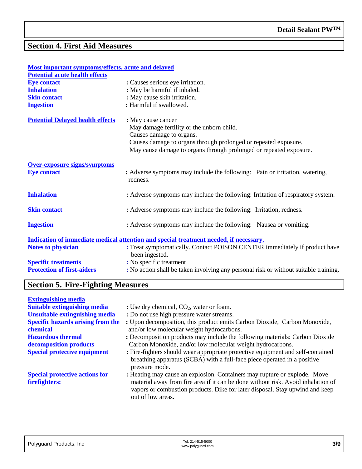#### **Section 4. First Aid Measures**

| Most important symptoms/effects, acute and delayed                                    |                                                                                              |
|---------------------------------------------------------------------------------------|----------------------------------------------------------------------------------------------|
| <b>Potential acute health effects</b>                                                 |                                                                                              |
| <b>Eye contact</b>                                                                    | : Causes serious eye irritation.                                                             |
| <b>Inhalation</b>                                                                     | : May be harmful if inhaled.                                                                 |
| <b>Skin contact</b>                                                                   | : May cause skin irritation.                                                                 |
| <b>Ingestion</b>                                                                      | : Harmful if swallowed.                                                                      |
| <b>Potential Delayed health effects</b>                                               | : May cause cancer                                                                           |
|                                                                                       | May damage fertility or the unborn child.                                                    |
|                                                                                       | Causes damage to organs.                                                                     |
|                                                                                       | Causes damage to organs through prolonged or repeated exposure.                              |
|                                                                                       | May cause damage to organs through prolonged or repeated exposure.                           |
| <b>Over-exposure signs/symptoms</b>                                                   |                                                                                              |
| <b>Eye contact</b>                                                                    | : Adverse symptoms may include the following: Pain or irritation, watering,<br>redness.      |
| <b>Inhalation</b>                                                                     | : Adverse symptoms may include the following: Irritation of respiratory system.              |
| <b>Skin contact</b>                                                                   | : Adverse symptoms may include the following: Irritation, redness.                           |
| <b>Ingestion</b>                                                                      | : Adverse symptoms may include the following: Nausea or vomiting.                            |
| Indication of immediate medical attention and special treatment needed, if necessary. |                                                                                              |
| Notes to physician                                                                    | : Treat symptomatically. Contact POISON CENTER immediately if product have<br>been ingested. |
| <b>Specific treatments</b>                                                            | : No specific treatment                                                                      |
| <b>Protection of first-aiders</b>                                                     | : No action shall be taken involving any personal risk or without suitable training.         |
|                                                                                       |                                                                                              |

## **Section 5. Fire-Fighting Measures**

| <b>Extinguishing media</b>                             |                                                                                                                                                                                                                                                                    |
|--------------------------------------------------------|--------------------------------------------------------------------------------------------------------------------------------------------------------------------------------------------------------------------------------------------------------------------|
| <b>Suitable extinguishing media</b>                    | : Use dry chemical, $CO2$ , water or foam.                                                                                                                                                                                                                         |
| <b>Unsuitable extinguishing media</b>                  | : Do not use high pressure water streams.                                                                                                                                                                                                                          |
| <b>Specific hazards arising from the</b><br>chemical   | : Upon decomposition, this product emits Carbon Dioxide, Carbon Monoxide,<br>and/or low molecular weight hydrocarbons.                                                                                                                                             |
| <b>Hazardous</b> thermal                               | : Decomposition products may include the following materials: Carbon Dioxide                                                                                                                                                                                       |
| decomposition products                                 | Carbon Monoxide, and/or low molecular weight hydrocarbons.                                                                                                                                                                                                         |
| <b>Special protective equipment</b>                    | : Fire-fighters should wear appropriate protective equipment and self-contained<br>breathing apparatus (SCBA) with a full-face piece operated in a positive<br>pressure mode.                                                                                      |
| <b>Special protective actions for</b><br>firefighters: | : Heating may cause an explosion. Containers may rupture or explode. Move<br>material away from fire area if it can be done without risk. Avoid inhalation of<br>vapors or combustion products. Dike for later disposal. Stay upwind and keep<br>out of low areas. |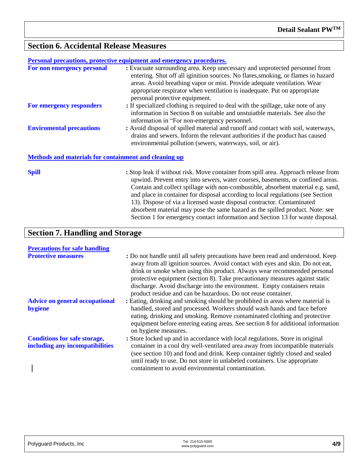#### **Section 6. Accidental Release Measures**

|                                                       | Personal precautions, protective equipment and emergency procedures.                                                                                                                                                                                                                                                                                                                                                                                                                                    |
|-------------------------------------------------------|---------------------------------------------------------------------------------------------------------------------------------------------------------------------------------------------------------------------------------------------------------------------------------------------------------------------------------------------------------------------------------------------------------------------------------------------------------------------------------------------------------|
| For non emergency personal                            | : Evacuate surrounding area. Keep unecessary and unprotected personnel from<br>entering. Shut off all iginition sources. No flares, smoking, or flames in hazard<br>areas. Avoid breathing vapor or mist. Provide adequate ventilation. Wear<br>appropriate respirator when ventilation is inadequate. Put on appropriate<br>personal protective equipment.                                                                                                                                             |
| For emergency responders                              | : If specialized clothing is required to deal with the spillage, take note of any<br>information in Section 8 on suitable and unstuiatble materials. See also the<br>information in "For non-emergency personnel.                                                                                                                                                                                                                                                                                       |
| <b>Enviromental precautions</b>                       | : Avoid disposal of spilled material and runoff and contact with soil, waterways,<br>drains and sewers. Inform the relevant authorities if the product has caused<br>environmental pollution (sewers, waterways, soil, or air).                                                                                                                                                                                                                                                                         |
| Methods and materials for containment and cleaning up |                                                                                                                                                                                                                                                                                                                                                                                                                                                                                                         |
| <b>Spill</b>                                          | : Stop leak if without risk. Move container from spill area. Approach release from<br>upwind. Prevent entry into sewers, water courses, basements, or confined areas.<br>Contain and collect spillage with non-combustible, absorbent material e.g. sand,<br>and place in container for disposal according to local regulations (see Section<br>13). Dispose of via a licensed waste disposal contractor. Contaminated<br>absorbent material may pose the same hazard as the spilled product. Note: see |

Section 1 for emergency contact information and Section 13 for waste disposal.

| <b>Section 7. Handling and Storage</b>                                 |                                                                                                                                                                                                                                                                                                                                                                                                                                                                            |  |
|------------------------------------------------------------------------|----------------------------------------------------------------------------------------------------------------------------------------------------------------------------------------------------------------------------------------------------------------------------------------------------------------------------------------------------------------------------------------------------------------------------------------------------------------------------|--|
| <b>Precautions for safe handling</b>                                   |                                                                                                                                                                                                                                                                                                                                                                                                                                                                            |  |
| <b>Protective measures</b>                                             | : Do not handle until all safety precautions have been read and understood. Keep<br>away from all ignition sources. Avoid contact with eyes and skin. Do not eat,<br>drink or smoke when using this product. Always wear recommended personal<br>protective equipment (section 8). Take precautionary measures against static<br>discharge. Avoid discharge into the environment. Empty containers retain<br>product residue and can be hazardous. Do not reuse container. |  |
| <b>Advice on general occupational</b><br>hygiene                       | : Eating, drinking and smoking should be prohibited in areas where material is<br>handled, stored and processed. Workers should wash hands and face before<br>eating, drinking and smoking. Remove contaminated clothing and protective<br>equipment before entering eating areas. See section 8 for additional information<br>on hygiene measures.                                                                                                                        |  |
| <b>Conditions for safe storage,</b><br>including any incompatibilities | : Store locked up and in accordance with local regulations. Store in original<br>container in a cool dry well-ventilated area away from incompatible materials<br>(see section 10) and food and drink. Keep container tightly closed and sealed<br>until ready to use. Do not store in unlabeled containers. Use appropriate<br>containment to avoid environmental contamination.                                                                                          |  |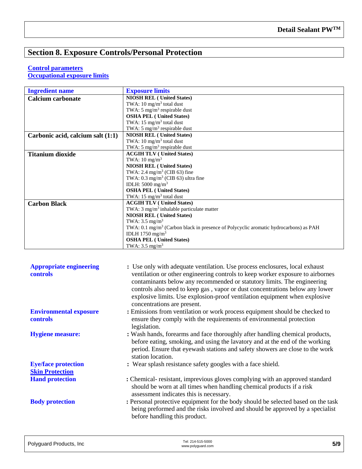### **Section 8. Exposure Controls/Personal Protection**

#### **Control parameters**

**Occupational exposure limits**

| <b>Ingredient name</b>            | <b>Exposure limits</b>                                                                          |
|-----------------------------------|-------------------------------------------------------------------------------------------------|
| <b>Calcium carbonate</b>          | <b>NIOSH REL (United States)</b>                                                                |
|                                   | TWA: $10 \text{ mg/m}^3$ total dust                                                             |
|                                   | TWA: 5 mg/m <sup>3</sup> respirable dust                                                        |
|                                   | <b>OSHA PEL (United States)</b>                                                                 |
|                                   | TWA: $15 \text{ mg/m}^3$ total dust                                                             |
|                                   | TWA: $5 \text{ mg/m}^3$ respirable dust                                                         |
| Carbonic acid, calcium salt (1:1) | <b>NIOSH REL (United States)</b>                                                                |
|                                   | TWA: $10 \text{ mg/m}^3$ total dust                                                             |
|                                   | TWA: 5 mg/m <sup>3</sup> respirable dust                                                        |
| <b>Titanium dioxide</b>           | <b>ACGIH TLV (United States)</b>                                                                |
|                                   | TWA: $10 \text{ mg/m}^3$                                                                        |
|                                   | <b>NIOSH REL (United States)</b>                                                                |
|                                   | TWA: 2.4 mg/m <sup>3</sup> (CIB 63) fine                                                        |
|                                   | TWA: $0.3 \text{ mg/m}^3$ (CIB 63) ultra fine                                                   |
|                                   | IDLH: $5000$ mg/m <sup>3</sup>                                                                  |
|                                   | <b>OSHA PEL (United States)</b>                                                                 |
|                                   | TWA: $15 \text{ mg/m}^3$ total dust                                                             |
| <b>Carbon Black</b>               | <b>ACGIH TLV (United States)</b>                                                                |
|                                   | TWA: $3 \text{ mg/m}^3$ inhalable particulate matter                                            |
|                                   | <b>NIOSH REL (United States)</b>                                                                |
|                                   | TWA: $3.5 \text{ mg/m}^3$                                                                       |
|                                   | TWA: $0.1 \text{ mg/m}^3$ (Carbon black in presence of Polycyclic aromatic hydrocarbons) as PAH |
|                                   | IDLH 1750 mg/m <sup>3</sup>                                                                     |
|                                   | <b>OSHA PEL (United States)</b>                                                                 |
|                                   | TWA: $3.5 \text{ mg/m}^3$                                                                       |

| <b>Appropriate engineering</b><br>controls           | : Use only with adequate ventilation. Use process enclosures, local exhaust<br>ventilation or other engineering controls to keep worker exposure to airbornes<br>contaminants below any recommended or statutory limits. The engineering<br>controls also need to keep gas, vapor or dust concentrations below any lower<br>explosive limits. Use explosion-proof ventilation equipment when explosive<br>concentrations are present. |
|------------------------------------------------------|---------------------------------------------------------------------------------------------------------------------------------------------------------------------------------------------------------------------------------------------------------------------------------------------------------------------------------------------------------------------------------------------------------------------------------------|
| <b>Environmental exposure</b><br>controls            | : Emissions from ventilation or work process equipment should be checked to<br>ensure they comply with the requirements of environmental protection<br>legislation.                                                                                                                                                                                                                                                                   |
| <b>Hygiene measure:</b>                              | : Wash hands, forearms and face thoroughly after handling chemical products,<br>before eating, smoking, and using the lavatory and at the end of the working<br>period. Ensure that eyewash stations and safety showers are close to the work<br>station location.                                                                                                                                                                    |
| <b>Eye/face protection</b><br><b>Skin Protection</b> | : Wear splash resistance safety googles with a face shield.                                                                                                                                                                                                                                                                                                                                                                           |
| <b>Hand protection</b>                               | : Chemical-resistant, imprevious gloves complying with an approved standard<br>should be worn at all times when handling chemical products if a risk<br>assessment indicates this is necessary.                                                                                                                                                                                                                                       |
| <b>Body protection</b>                               | : Personal protective equipment for the body should be selected based on the task<br>being preformed and the risks involved and should be approved by a specialist<br>before handling this product.                                                                                                                                                                                                                                   |

| Polyguard Products, Inc. | Tel: 214-515-5000<br>www.polyguard.com | 5/9 |
|--------------------------|----------------------------------------|-----|
|                          |                                        |     |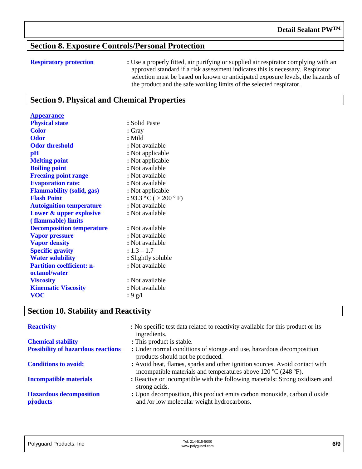#### **Section 8. Exposure Controls/Personal Protection**

**Appearance**

**Respiratory protection :** Use a properly fitted, air purifying or supplied air respirator complying with an approved standard if a risk assessment indicates this is necessary. Respirator selection must be based on known or anticipated exposure levels, the hazards of the product and the safe working limits of the selected respirator.

#### **Section 9. Physical and Chemical Properties**

| <i><b>Trpearance</b></i>         |                      |
|----------------------------------|----------------------|
| <b>Physical state</b>            | : Solid Paste        |
| <b>Color</b>                     | $:$ Gray             |
| <b>Odor</b>                      | : Mild               |
| <b>Odor threshold</b>            | : Not available      |
| $\mathbf{p}$ H                   | : Not applicable     |
| <b>Melting point</b>             | : Not applicable     |
| <b>Boiling point</b>             | : Not available      |
| <b>Freezing point range</b>      | : Not available      |
| <b>Evaporation rate:</b>         | : Not available      |
| <b>Flammability (solid, gas)</b> | : Not applicable     |
| <b>Flash Point</b>               | : 93.3 °C (> 200 °F) |
| <b>Autoignition temperature</b>  | : Not available      |
| Lower & upper explosive          | : Not available      |
| (flammable) limits               |                      |
| <b>Decomposition temperature</b> | : Not available      |
| <b>Vapor pressure</b>            | : Not available      |
| <b>Vapor density</b>             | : Not available      |
| <b>Specific gravity</b>          | $: 1.3 - 1.7$        |
| <b>Water solubility</b>          | : Slightly soluble   |
| <b>Partition coefficient: n-</b> | : Not available      |
| octanol/water                    |                      |
| <b>Viscosity</b>                 | : Not available      |
| <b>Kinematic Viscosity</b>       | : Not available      |
| <b>VOC</b>                       | : 9g/1               |

#### **Section 10. Stability and Reactivity**

| <b>Reactivity</b>                          | : No specific test data related to reactivity available for this product or its<br>ingredients.                                                              |
|--------------------------------------------|--------------------------------------------------------------------------------------------------------------------------------------------------------------|
| <b>Chemical stability</b>                  | : This product is stable.                                                                                                                                    |
| <b>Possibility of hazardous reactions</b>  | : Under normal conditions of storage and use, hazardous decomposition<br>products should not be produced.                                                    |
| <b>Conditions to avoid:</b>                | : Avoid heat, flames, sparks and other ignition sources. Avoid contact with<br>incompatible materials and temperatures above 120 $\rm{°C}$ (248 $\rm{°F}$ ). |
| <b>Incompatible materials</b>              | : Reactive or incompatible with the following materials: Strong oxidizers and<br>strong acids.                                                               |
| <b>Hazardous decomposition</b><br>products | : Upon decomposition, this product emits carbon monoxide, carbon dioxide<br>and /or low molecular weight hydrocarbons.                                       |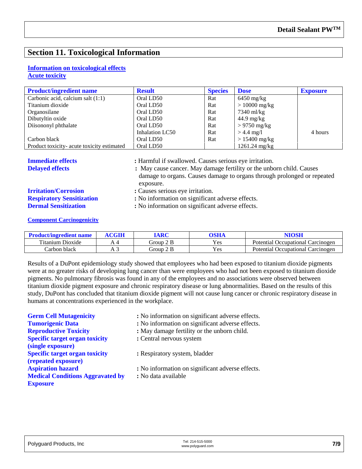#### **Section 11. Toxicological Information**

#### **Information on toxicological effects**

#### **Acute toxicity**

| <b>Product/ingredient name</b>             | <b>Result</b>   | <b>Species</b> | <b>Dose</b>             | <b>Exposure</b> |
|--------------------------------------------|-----------------|----------------|-------------------------|-----------------|
| Carbonic acid, calcium salt (1:1)          | Oral LD50       | Rat            | $6450$ mg/kg            |                 |
| Titanium dioxide                           | Oral LD50       | Rat            | $> 10000$ mg/kg         |                 |
| Organosilane                               | Oral LD50       | Rat            | 7340 ml/kg              |                 |
| Dibutyltin oxide                           | Oral LD50       | Rat            | $44.9 \text{ mg/kg}$    |                 |
| Diisononyl phthalate                       | Oral LD50       | Rat            | $> 9750$ mg/kg          |                 |
|                                            | Inhalation LC50 | Rat            | $> 4.4$ mg/l            | 4 hours         |
| Carbon black                               | Oral LD50       | Rat            | $> 15400$ mg/kg         |                 |
| Product toxicity- acute toxicity estimated | Oral LD50       |                | $1261.24 \text{ mg/kg}$ |                 |

**Immediate effects :** Harmful if swallowed. Causes serious eye irritation.

**Delayed effects :** May cause cancer. May damage fertility or the unborn child. Causes damage to organs. Causes damage to organs through prolonged or repeated exposure.

# **Respiratory Sensitization** <br>**:** No information on significant adverse effects.<br>**Dermal Sensitization** <br>**:** No information on significant adverse effects.

**Irritation/Corrosion** : Causes serious eye irritation.

**:** No information on significant adverse effects.

**Component Carcinogenicity**

| <b>Product/ingredient name</b> | IARC      | <b>OSHA</b> |                                      |
|--------------------------------|-----------|-------------|--------------------------------------|
| Titanium.<br>Dioxide           | Group 2 B | Yes         | Potential Occupational Carcinogen    |
| Carbon black                   | Group 2 B | Yes         | Occupational Carcinogen<br>Potential |

Results of a DuPont epidemiology study showed that employees who had been exposed to titanium dioxide pigments were at no greater risks of developing lung cancer than were employees who had not been exposed to titanium dioxide pigments. No pulmonary fibrosis was found in any of the employees and no associations were observed between titanium dioxide pigment exposure and chronic respiratory disease or lung abnormalities. Based on the results of this study, DuPont has concluded that titanium dioxide pigment will not cause lung cancer or chronic respiratory disease in humans at concentrations experienced in the workplace.

| : No information on significant adverse effects. |
|--------------------------------------------------|
| : No information on significant adverse effects. |
| : May damage fertility or the unborn child.      |
| : Central nervous system                         |
|                                                  |
| : Respiratory system, bladder                    |
|                                                  |
| : No information on significant adverse effects. |
| : No data available                              |
|                                                  |
|                                                  |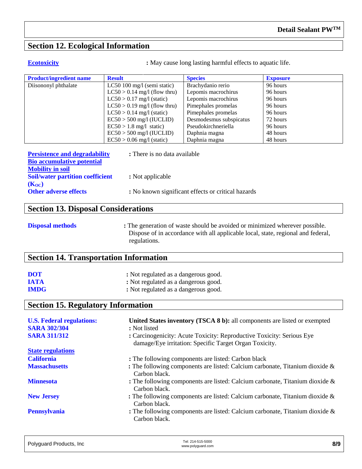#### **Section 12. Ecological Information**

**Ecotoxicity :** May cause long lasting harmful effects to aquatic life.

| <b>Product/ingredient name</b> | <b>Result</b>                  | <b>Species</b>          | <b>Exposure</b> |
|--------------------------------|--------------------------------|-------------------------|-----------------|
| Diisononyl phthalate           | LC50 100 mg/l (semi static)    | Brachydanio rerio       | 96 hours        |
|                                | $LC50 > 0.14$ mg/l (flow thru) | Lepomis macrochirus     | 96 hours        |
|                                | $LC50 > 0.17$ mg/l (static)    | Lepomis macrochirus     | 96 hours        |
|                                | $LC50 > 0.19$ mg/l (flow thru) | Pimephales promelas     | 96 hours        |
|                                | $LC50 > 0.14$ mg/l (static)    | Pimephales promelas     | 96 hours        |
|                                | $EC50 > 500$ mg/l (IUCLID)     | Desmodesmus subspicatus | 72 hours        |
|                                | $EC50 > 1.8$ mg/l static)      | Pseudokirchneriella     | 96 hours        |
|                                | $EC50 > 500$ mg/l (IUCLID)     | Daphnia magna           | 48 hours        |
|                                | $EC50 > 0.06$ mg/l (static)    | Daphnia magna           | 48 hours        |

| <b>Persistence and degradability</b>    | : There is no data available                       |
|-----------------------------------------|----------------------------------------------------|
| <b>Bio accumulative potential</b>       |                                                    |
| <b>Mobility in soil</b>                 |                                                    |
| <b>Soil/water partition coefficient</b> | : Not applicable                                   |
| $(K_{OC})$                              |                                                    |
| <b>Other adverse effects</b>            | : No known significant effects or critical hazards |

#### **Section 13. Disposal Considerations**

**Disposal methods** : The generation of waste should be avoided or minimized wherever possible. Dispose of in accordance with all applicable local, state, regional and federal, regulations.

#### **Section 14. Transportation Information**

| <b>DOT</b>  | : Not regulated as a dangerous good. |
|-------------|--------------------------------------|
| <b>IATA</b> | : Not regulated as a dangerous good. |
| <b>IMDG</b> | : Not regulated as a dangerous good. |

#### **Section 15. Regulatory Information**

| <b>U.S. Federal regulations:</b> | United States inventory (TSCA 8 b): all components are listed or exempted                                                       |
|----------------------------------|---------------------------------------------------------------------------------------------------------------------------------|
| <b>SARA 302/304</b>              | : Not listed                                                                                                                    |
| <b>SARA 311/312</b>              | : Carcinogenicity: Acute Toxicity: Reproductive Toxicity: Serious Eye<br>damage/Eye irritation: Specific Target Organ Toxicity. |
| <b>State regulations</b>         |                                                                                                                                 |
| <b>California</b>                | : The following components are listed: Carbon black                                                                             |
| <b>Massachusetts</b>             | : The following components are listed: Calcium carbonate, Titanium dioxide $\&$<br>Carbon black.                                |
| <b>Minnesota</b>                 | : The following components are listed: Calcium carbonate, Titanium dioxide $\&$<br>Carbon black.                                |
| <b>New Jersey</b>                | : The following components are listed: Calcium carbonate, Titanium dioxide $\&$<br>Carbon black.                                |
| <b>Pennsylvania</b>              | : The following components are listed: Calcium carbonate, Titanium dioxide $\&$<br>Carbon black.                                |

| Tel: 214-515-5000<br>www.polyguard.com | 8/9 |
|----------------------------------------|-----|
|                                        |     |